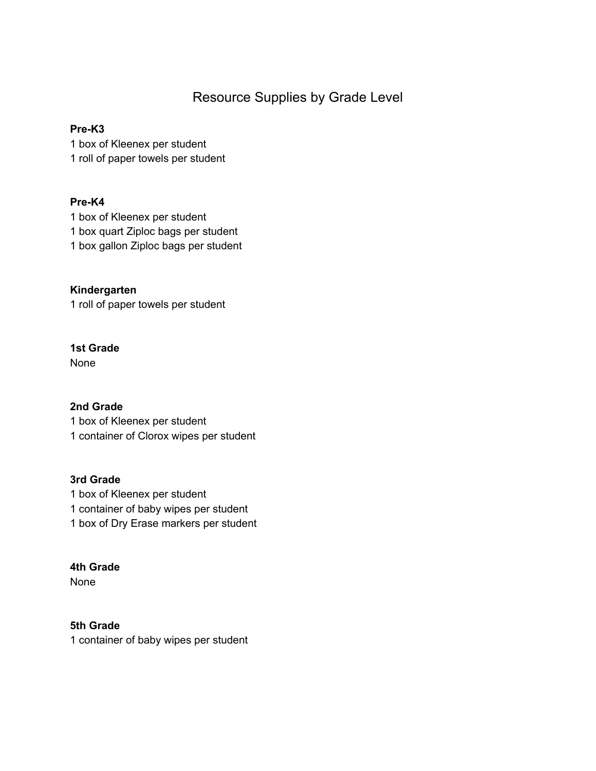# Resource Supplies by Grade Level

#### **Pre-K3**

1 box of Kleenex per student 1 roll of paper towels per student

#### **Pre-K4**

1 box of Kleenex per student 1 box quart Ziploc bags per student 1 box gallon Ziploc bags per student

**Kindergarten** 1 roll of paper towels per student

# **1st Grade**

None

# **2nd Grade**

1 box of Kleenex per student 1 container of Clorox wipes per student

# **3rd Grade**

1 box of Kleenex per student 1 container of baby wipes per student 1 box of Dry Erase markers per student

# **4th Grade**

None

# **5th Grade**

1 container of baby wipes per student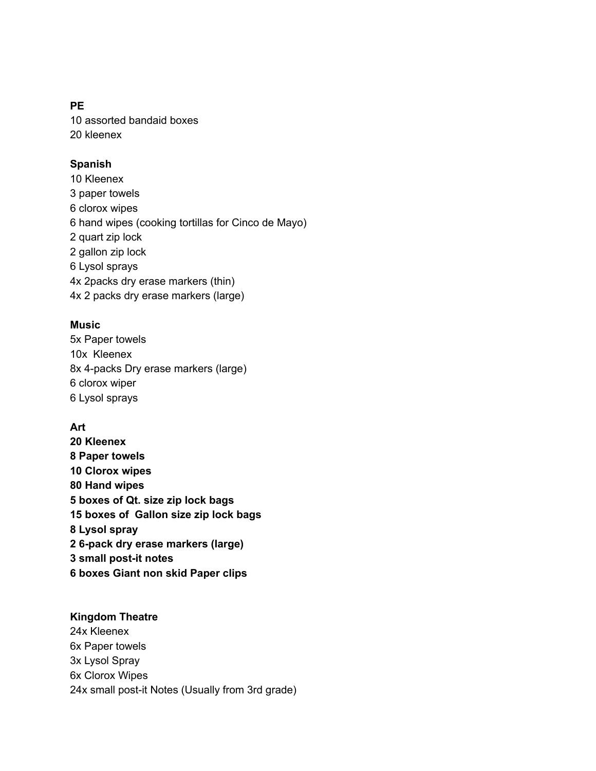#### **PE**

10 assorted bandaid boxes 20 kleenex

#### **Spanish**

10 Kleenex paper towels clorox wipes hand wipes (cooking tortillas for Cinco de Mayo) quart zip lock gallon zip lock Lysol sprays 4x 2packs dry erase markers (thin) 4x 2 packs dry erase markers (large)

#### **Music**

5x Paper towels 10x Kleenex 8x 4-packs Dry erase markers (large) 6 clorox wiper 6 Lysol sprays

# **Art**

**20 Kleenex Paper towels Clorox wipes Hand wipes boxes of Qt. size zip lock bags boxes of Gallon size zip lock bags Lysol spray 6-pack dry erase markers (large) small post-it notes boxes Giant non skid Paper clips**

#### **Kingdom Theatre**

24x Kleenex 6x Paper towels 3x Lysol Spray 6x Clorox Wipes 24x small post-it Notes (Usually from 3rd grade)